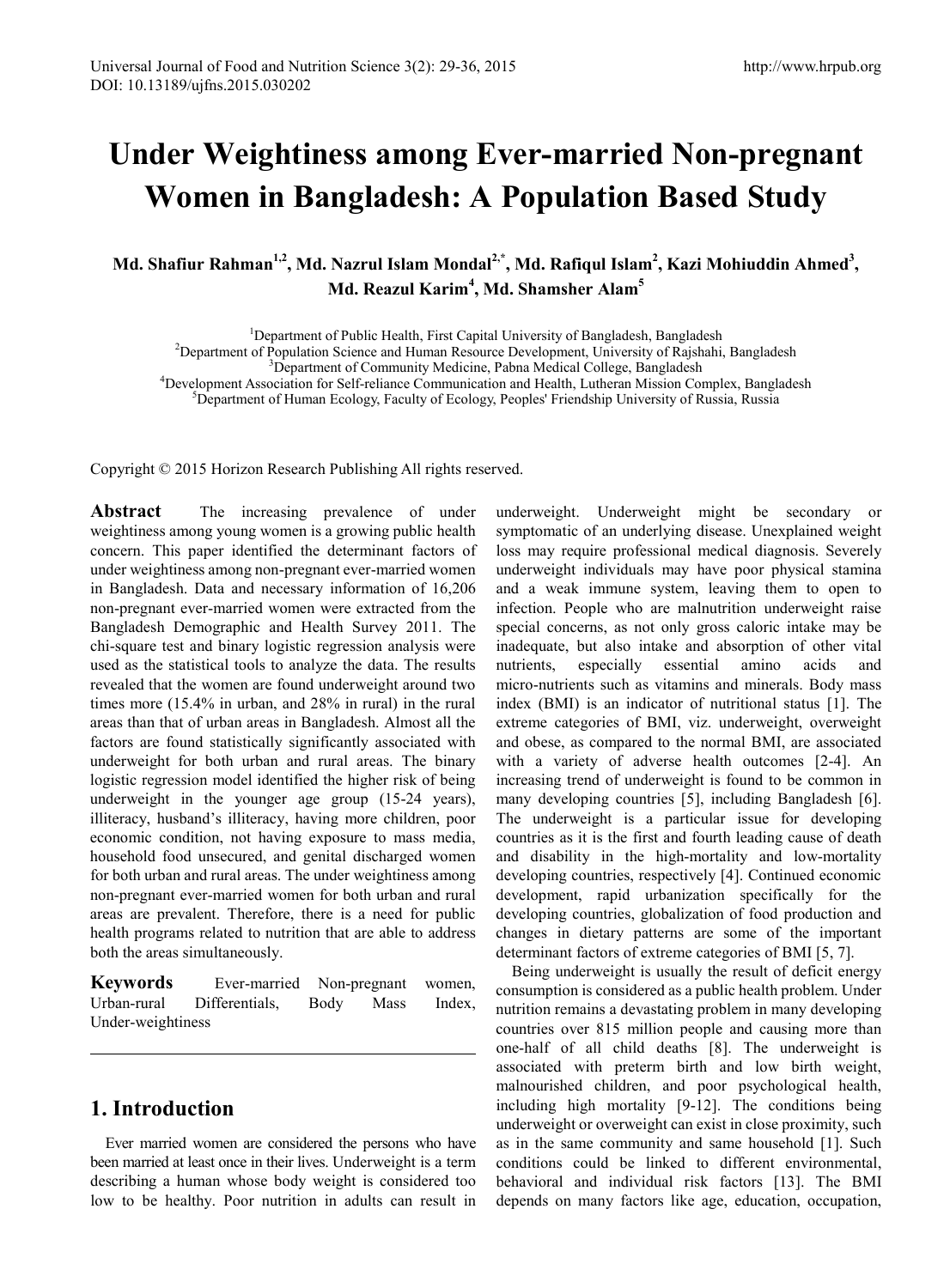# **Under Weightiness among Ever-married Non-pregnant Women in Bangladesh: A Population Based Study**

Md. Shafiur Rahman<sup>1,2</sup>, Md. Nazrul Islam Mondal<sup>2,\*</sup>, Md. Rafiqul Islam<sup>2</sup>, Kazi Mohiuddin Ahmed<sup>3</sup>, **Md. Reazul Karim<sup>4</sup> , Md. Shamsher Alam<sup>5</sup>**

<sup>1</sup> Department of Public Health, First Capital University of Bangladesh, Bangladesh<sup>2</sup><br><sup>2</sup> Department of Banylstian Saignee and Human Baseyree Davelopment, University of Baisbabi

<sup>2</sup>Department of Population Science and Human Resource Development, University of Rajshahi, Bangladesh

Department of Community Medicine, Pabna Medical College, Bangladesh <sup>4</sup>

<sup>4</sup>Development Association for Self-reliance Communication and Health, Lutheran Mission Complex, Bangladesh

<sup>5</sup>Department of Human Ecology, Faculty of Ecology, Peoples' Friendship University of Russia, Russia

Copyright © 2015 Horizon Research Publishing All rights reserved.

**Abstract** The increasing prevalence of under weightiness among young women is a growing public health concern. This paper identified the determinant factors of under weightiness among non-pregnant ever-married women in Bangladesh. Data and necessary information of 16,206 non-pregnant ever-married women were extracted from the Bangladesh Demographic and Health Survey 2011. The chi-square test and binary logistic regression analysis were used as the statistical tools to analyze the data. The results revealed that the women are found underweight around two times more (15.4% in urban, and 28% in rural) in the rural areas than that of urban areas in Bangladesh. Almost all the factors are found statistically significantly associated with underweight for both urban and rural areas. The binary logistic regression model identified the higher risk of being underweight in the younger age group (15-24 years), illiteracy, husband's illiteracy, having more children, poor economic condition, not having exposure to mass media, household food unsecured, and genital discharged women for both urban and rural areas. The under weightiness among non-pregnant ever-married women for both urban and rural areas are prevalent. Therefore, there is a need for public health programs related to nutrition that are able to address both the areas simultaneously.

**Keywords** Ever-married Non-pregnant women, Urban-rural Differentials, Body Mass Index, Under-weightiness

# **1. Introduction**

Ever married women are considered the persons who have been married at least once in their lives. Underweight is a term describing a human whose body weight is considered too low to be healthy. Poor nutrition in adults can result in

underweight. Underweight might be secondary or symptomatic of an underlying disease. Unexplained weight loss may require professional medical diagnosis. Severely underweight individuals may have poor physical stamina and a weak immune system, leaving them to open to infection. People who are malnutrition underweight raise special concerns, as not only gross caloric intake may be inadequate, but also intake and absorption of other vital nutrients, especially essential amino acids and micro-nutrients such as vitamins and minerals. Body mass index (BMI) is an indicator of nutritional status [1]. The extreme categories of BMI, viz. underweight, overweight and obese, as compared to the normal BMI, are associated with a variety of adverse health outcomes [2-4]. An increasing trend of underweight is found to be common in many developing countries [5], including Bangladesh [6]. The underweight is a particular issue for developing countries as it is the first and fourth leading cause of death and disability in the high-mortality and low-mortality developing countries, respectively [4]. Continued economic development, rapid urbanization specifically for the developing countries, globalization of food production and changes in dietary patterns are some of the important determinant factors of extreme categories of BMI [5, 7].

Being underweight is usually the result of deficit energy consumption is considered as a public health problem. Under nutrition remains a devastating problem in many developing countries over 815 million people and causing more than one-half of all child deaths [8]. The underweight is associated with preterm birth and low birth weight, malnourished children, and poor psychological health, including high mortality [9-12]. The conditions being underweight or overweight can exist in close proximity, such as in the same community and same household [1]. Such conditions could be linked to different environmental, behavioral and individual risk factors [13]. The BMI depends on many factors like age, education, occupation,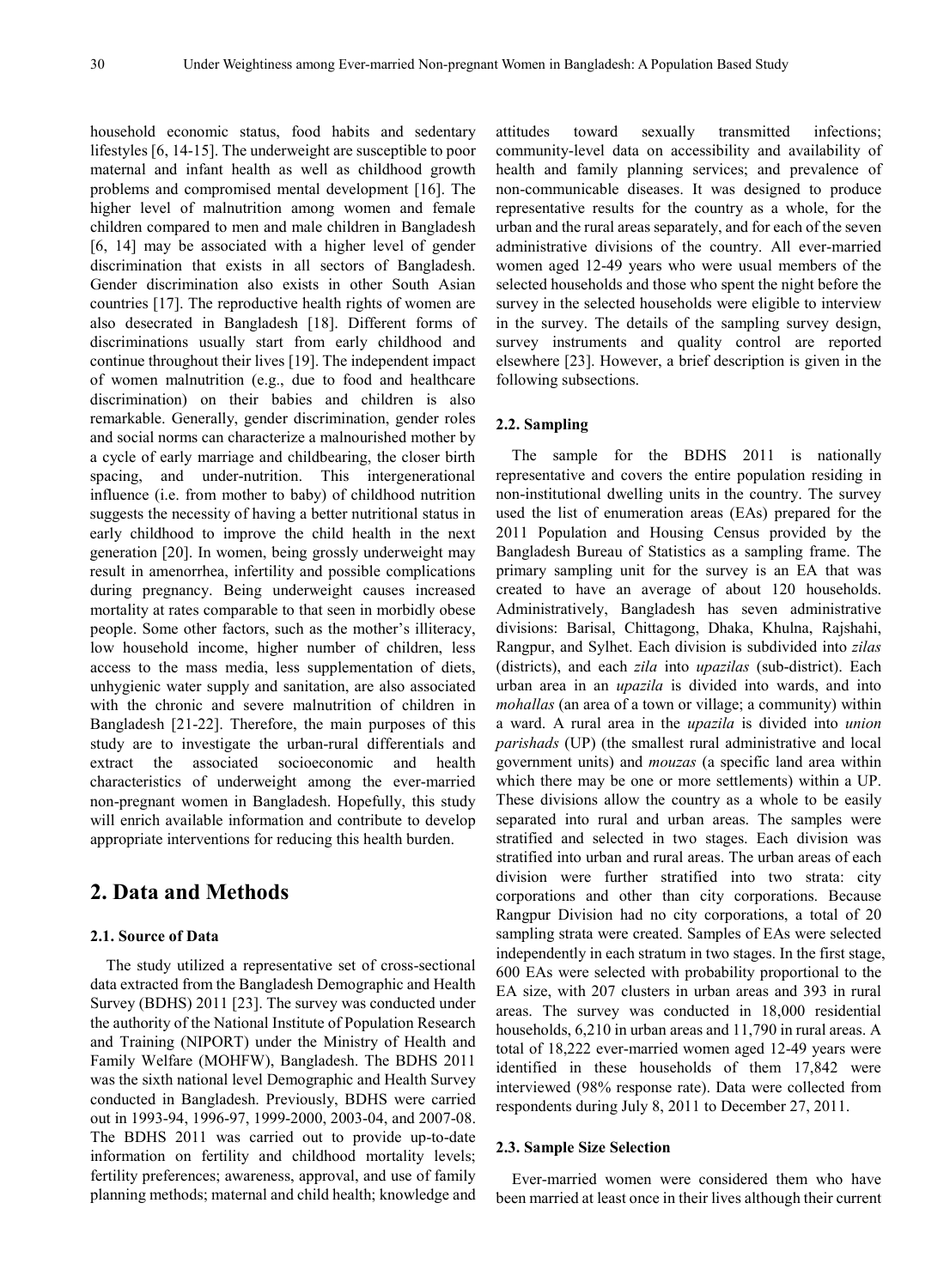household economic status, food habits and sedentary lifestyles [6, 14-15]. The underweight are susceptible to poor maternal and infant health as well as childhood growth problems and compromised mental development [16]. The higher level of malnutrition among women and female children compared to men and male children in Bangladesh [6, 14] may be associated with a higher level of gender discrimination that exists in all sectors of Bangladesh. Gender discrimination also exists in other South Asian countries [17]. The reproductive health rights of women are also desecrated in Bangladesh [18]. Different forms of discriminations usually start from early childhood and continue throughout their lives [19]. The independent impact of women malnutrition (e.g., due to food and healthcare discrimination) on their babies and children is also remarkable. Generally, gender discrimination, gender roles and social norms can characterize a malnourished mother by a cycle of early marriage and childbearing, the closer birth spacing, and under-nutrition. This intergenerational influence (i.e. from mother to baby) of childhood nutrition suggests the necessity of having a better nutritional status in early childhood to improve the child health in the next generation [20]. In women, being grossly underweight may result in amenorrhea, infertility and possible complications during pregnancy. Being underweight causes increased mortality at rates comparable to that seen in morbidly obese people. Some other factors, such as the mother's illiteracy, low household income, higher number of children, less access to the mass media, less supplementation of diets, unhygienic water supply and sanitation, are also associated with the chronic and severe malnutrition of children in Bangladesh [21-22]. Therefore, the main purposes of this study are to investigate the urban-rural differentials and extract the associated socioeconomic and health characteristics of underweight among the ever-married non-pregnant women in Bangladesh. Hopefully, this study will enrich available information and contribute to develop appropriate interventions for reducing this health burden.

# **2. Data and Methods**

## **2.1. Source of Data**

The study utilized a representative set of cross-sectional data extracted from the Bangladesh Demographic and Health Survey (BDHS) 2011 [23]. The survey was conducted under the authority of the National Institute of Population Research and Training (NIPORT) under the Ministry of Health and Family Welfare (MOHFW), Bangladesh. The BDHS 2011 was the sixth national level Demographic and Health Survey conducted in Bangladesh. Previously, BDHS were carried out in 1993-94, 1996-97, 1999-2000, 2003-04, and 2007-08. The BDHS 2011 was carried out to provide up-to-date information on fertility and childhood mortality levels; fertility preferences; awareness, approval, and use of family planning methods; maternal and child health; knowledge and

attitudes toward sexually transmitted infections; community-level data on accessibility and availability of health and family planning services; and prevalence of non-communicable diseases. It was designed to produce representative results for the country as a whole, for the urban and the rural areas separately, and for each of the seven administrative divisions of the country. All ever-married women aged 12-49 years who were usual members of the selected households and those who spent the night before the survey in the selected households were eligible to interview in the survey. The details of the sampling survey design, survey instruments and quality control are reported elsewhere [23]. However, a brief description is given in the following subsections.

## **2.2. Sampling**

The sample for the BDHS 2011 is nationally representative and covers the entire population residing in non-institutional dwelling units in the country. The survey used the list of enumeration areas (EAs) prepared for the 2011 Population and Housing Census provided by the Bangladesh Bureau of Statistics as a sampling frame. The primary sampling unit for the survey is an EA that was created to have an average of about 120 households. Administratively, Bangladesh has seven administrative divisions: Barisal, Chittagong, Dhaka, Khulna, Rajshahi, Rangpur, and Sylhet. Each division is subdivided into *zilas* (districts), and each *zila* into *upazilas* (sub-district). Each urban area in an *upazila* is divided into wards, and into *mohallas* (an area of a town or village; a community) within a ward. A rural area in the *upazila* is divided into *union parishads* (UP) (the smallest rural administrative and local government units) and *mouzas* (a specific land area within which there may be one or more settlements) within a UP. These divisions allow the country as a whole to be easily separated into rural and urban areas. The samples were stratified and selected in two stages. Each division was stratified into urban and rural areas. The urban areas of each division were further stratified into two strata: city corporations and other than city corporations. Because Rangpur Division had no city corporations, a total of 20 sampling strata were created. Samples of EAs were selected independently in each stratum in two stages. In the first stage, 600 EAs were selected with probability proportional to the EA size, with 207 clusters in urban areas and 393 in rural areas. The survey was conducted in 18,000 residential households, 6,210 in urban areas and 11,790 in rural areas. A total of 18,222 ever-married women aged 12-49 years were identified in these households of them 17,842 were interviewed (98% response rate). Data were collected from respondents during July 8, 2011 to December 27, 2011.

## **2.3. Sample Size Selection**

Ever-married women were considered them who have been married at least once in their lives although their current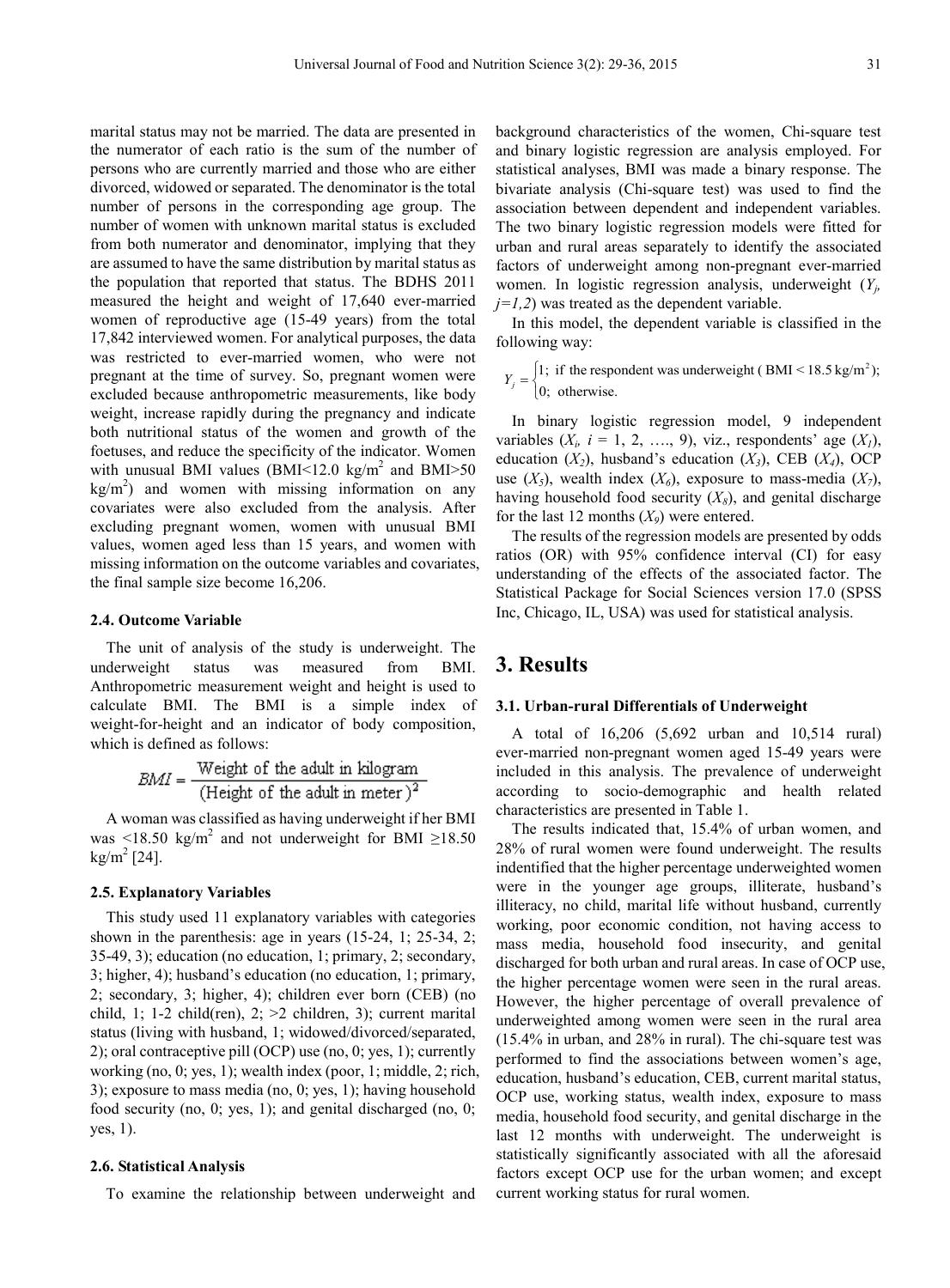marital status may not be married. The data are presented in the numerator of each ratio is the sum of the number of persons who are currently married and those who are either divorced, widowed or separated. The denominator is the total number of persons in the corresponding age group. The number of women with unknown marital status is excluded from both numerator and denominator, implying that they are assumed to have the same distribution by marital status as the population that reported that status. The BDHS 2011 measured the height and weight of 17,640 ever-married women of reproductive age (15-49 years) from the total 17,842 interviewed women. For analytical purposes, the data was restricted to ever-married women, who were not pregnant at the time of survey. So, pregnant women were excluded because anthropometric measurements, like body weight, increase rapidly during the pregnancy and indicate both nutritional status of the women and growth of the foetuses, and reduce the specificity of the indicator. Women with unusual BMI values (BMI<12.0 kg/m<sup>2</sup> and BMI>50  $\text{kg/m}^2$ ) and women with missing information on any covariates were also excluded from the analysis. After excluding pregnant women, women with unusual BMI values, women aged less than 15 years, and women with missing information on the outcome variables and covariates, the final sample size become 16,206.

#### **2.4. Outcome Variable**

The unit of analysis of the study is underweight. The underweight status was measured from BMI. Anthropometric measurement weight and height is used to calculate BMI. The BMI is a simple index of weight-for-height and an indicator of body composition, which is defined as follows:

$$
BMI = \frac{Weight of the adult in kilogram}{(Height of the adult in meter)}^2
$$

A woman was classified as having underweight if her BMI was <18.50 kg/m<sup>2</sup> and not underweight for BMI ≥18.50 kg/m<sup>2</sup> [24].

#### **2.5. Explanatory Variables**

This study used 11 explanatory variables with categories shown in the parenthesis: age in years (15-24, 1; 25-34, 2; 35-49, 3); education (no education, 1; primary, 2; secondary, 3; higher, 4); husband's education (no education, 1; primary, 2; secondary, 3; higher, 4); children ever born (CEB) (no child, 1; 1-2 child(ren), 2;  $>2$  children, 3); current marital status (living with husband, 1; widowed/divorced/separated, 2); oral contraceptive pill (OCP) use (no, 0; yes, 1); currently working (no, 0; yes, 1); wealth index (poor, 1; middle, 2; rich, 3); exposure to mass media (no, 0; yes, 1); having household food security (no, 0; yes, 1); and genital discharged (no, 0; yes, 1).

## **2.6. Statistical Analysis**

To examine the relationship between underweight and

background characteristics of the women, Chi-square test and binary logistic regression are analysis employed. For statistical analyses, BMI was made a binary response. The bivariate analysis (Chi-square test) was used to find the association between dependent and independent variables. The two binary logistic regression models were fitted for urban and rural areas separately to identify the associated factors of underweight among non-pregnant ever-married women. In logistic regression analysis, underweight (*Yj,*  $j=1,2$ ) was treated as the dependent variable.

In this model, the dependent variable is classified in the following way:

 $Y_j = \begin{cases} 1; & \text{if the respondent was underweight (BMI} < 18.5 \text{ kg/m}^2); \\ 0; & \text{otherwise.} \end{cases}$ 

In binary logistic regression model, 9 independent variables  $(X_i, i = 1, 2, \ldots, 9)$ , viz., respondents' age  $(X_i)$ , education  $(X_2)$ , husband's education  $(X_3)$ , CEB  $(X_4)$ , OCP use  $(X_5)$ , wealth index  $(X_6)$ , exposure to mass-media  $(X_7)$ , having household food security  $(X_8)$ , and genital discharge for the last 12 months  $(X_9)$  were entered.

The results of the regression models are presented by odds ratios (OR) with 95% confidence interval (CI) for easy understanding of the effects of the associated factor. The Statistical Package for Social Sciences version 17.0 (SPSS Inc, Chicago, IL, USA) was used for statistical analysis.

## **3. Results**

## **3.1. Urban-rural Differentials of Underweight**

A total of 16,206 (5,692 urban and 10,514 rural) ever-married non-pregnant women aged 15-49 years were included in this analysis. The prevalence of underweight according to socio-demographic and health related characteristics are presented in Table 1.

The results indicated that, 15.4% of urban women, and 28% of rural women were found underweight. The results indentified that the higher percentage underweighted women were in the younger age groups, illiterate, husband's illiteracy, no child, marital life without husband, currently working, poor economic condition, not having access to mass media, household food insecurity, and genital discharged for both urban and rural areas. In case of OCP use, the higher percentage women were seen in the rural areas. However, the higher percentage of overall prevalence of underweighted among women were seen in the rural area (15.4% in urban, and 28% in rural). The chi-square test was performed to find the associations between women's age, education, husband's education, CEB, current marital status, OCP use, working status, wealth index, exposure to mass media, household food security, and genital discharge in the last 12 months with underweight. The underweight is statistically significantly associated with all the aforesaid factors except OCP use for the urban women; and except current working status for rural women.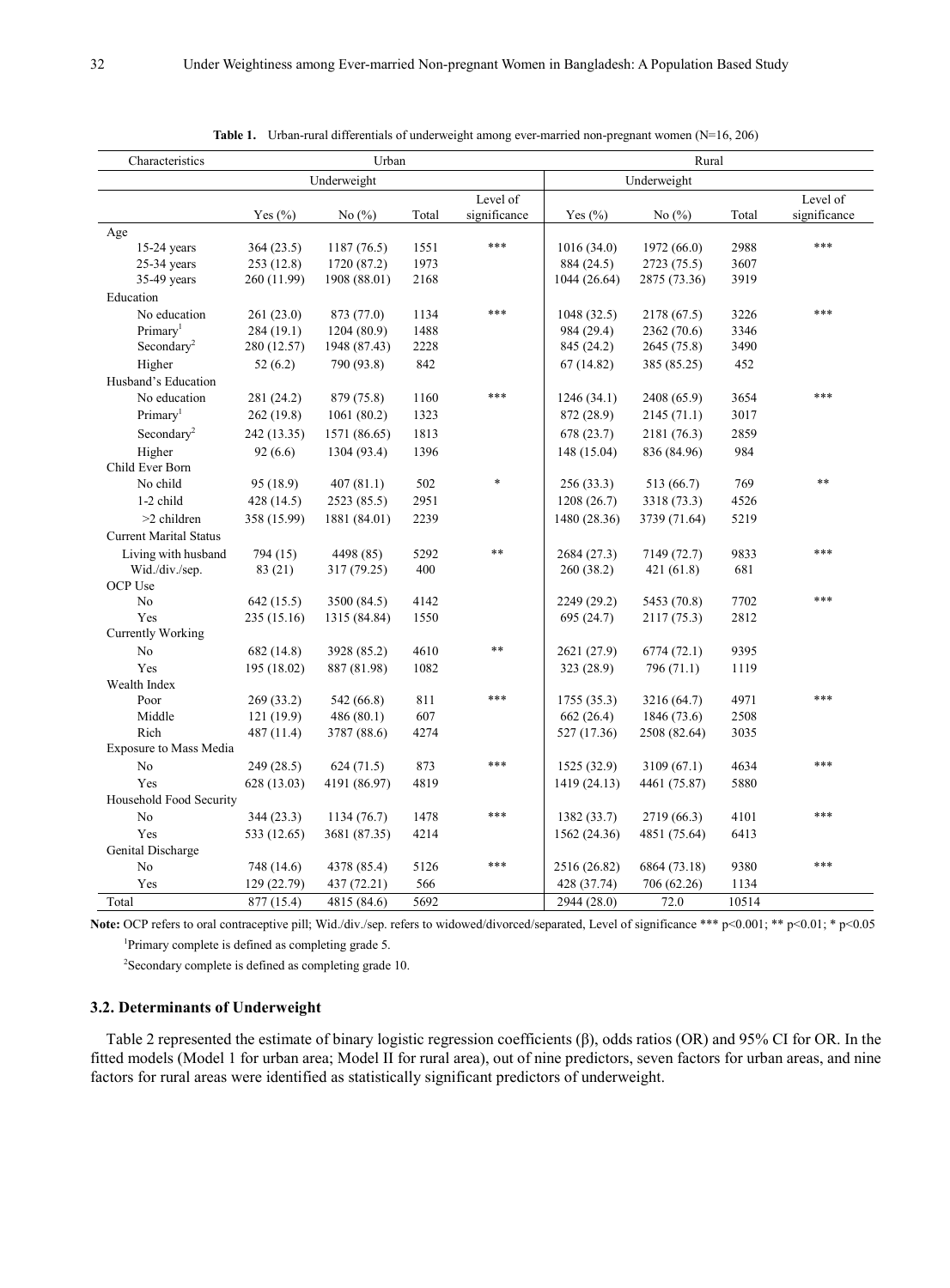| Characteristics               | Urban       |              |       |              | Rural        |              |       |              |
|-------------------------------|-------------|--------------|-------|--------------|--------------|--------------|-------|--------------|
|                               | Underweight |              |       |              | Underweight  |              |       |              |
|                               |             |              |       | Level of     |              |              |       | Level of     |
|                               | Yes $(\% )$ | No $(\% )$   | Total | significance | Yes $(\% )$  | No $(\% )$   | Total | significance |
| Age                           |             |              |       |              |              |              |       |              |
| $15-24$ years                 | 364(23.5)   | 1187(76.5)   | 1551  | ***          | 1016(34.0)   | 1972 (66.0)  | 2988  | ***          |
| $25-34$ years                 | 253(12.8)   | 1720 (87.2)  | 1973  |              | 884 (24.5)   | 2723 (75.5)  | 3607  |              |
| 35-49 years                   | 260 (11.99) | 1908 (88.01) | 2168  |              | 1044 (26.64) | 2875 (73.36) | 3919  |              |
| Education                     |             |              |       |              |              |              |       |              |
| No education                  | 261(23.0)   | 873 (77.0)   | 1134  | ***          | 1048(32.5)   | 2178 (67.5)  | 3226  | ***          |
| Primary <sup>1</sup>          | 284(19.1)   | 1204(80.9)   | 1488  |              | 984 (29.4)   | 2362 (70.6)  | 3346  |              |
| Secondary <sup>2</sup>        | 280 (12.57) | 1948 (87.43) | 2228  |              | 845 (24.2)   | 2645 (75.8)  | 3490  |              |
| Higher                        | 52(6.2)     | 790 (93.8)   | 842   |              | 67(14.82)    | 385 (85.25)  | 452   |              |
| Husband's Education           |             |              |       |              |              |              |       |              |
| No education                  | 281 (24.2)  | 879 (75.8)   | 1160  | ***          | 1246(34.1)   | 2408 (65.9)  | 3654  | ***          |
| Primary <sup>1</sup>          | 262(19.8)   | 1061(80.2)   | 1323  |              | 872 (28.9)   | 2145(71.1)   | 3017  |              |
| Secondary <sup>2</sup>        | 242 (13.35) | 1571 (86.65) | 1813  |              | 678(23.7)    | 2181 (76.3)  | 2859  |              |
| Higher                        | 92(6.6)     | 1304 (93.4)  | 1396  |              | 148 (15.04)  | 836 (84.96)  | 984   |              |
| Child Ever Born               |             |              |       |              |              |              |       |              |
| No child                      | 95 (18.9)   | 407(81.1)    | 502   | $\ast$       | 256(33.3)    | 513 (66.7)   | 769   | $**$         |
| 1-2 child                     | 428 (14.5)  | 2523 (85.5)  | 2951  |              | 1208(26.7)   | 3318 (73.3)  | 4526  |              |
| >2 children                   | 358 (15.99) | 1881 (84.01) | 2239  |              | 1480 (28.36) | 3739 (71.64) | 5219  |              |
| <b>Current Marital Status</b> |             |              |       |              |              |              |       |              |
| Living with husband           | 794 (15)    | 4498 (85)    | 5292  | $***$        | 2684 (27.3)  | 7149 (72.7)  | 9833  | ***          |
| Wid./div./sep.                | 83 (21)     | 317 (79.25)  | 400   |              | 260(38.2)    | 421(61.8)    | 681   |              |
| <b>OCP Use</b>                |             |              |       |              |              |              |       |              |
| N <sub>o</sub>                | 642(15.5)   | 3500 (84.5)  | 4142  |              | 2249 (29.2)  | 5453 (70.8)  | 7702  | ***          |
| Yes                           | 235 (15.16) | 1315 (84.84) | 1550  |              | 695(24.7)    | 2117 (75.3)  | 2812  |              |
| Currently Working             |             |              |       |              |              |              |       |              |
| No                            | 682(14.8)   | 3928 (85.2)  | 4610  | $***$        | 2621 (27.9)  | 6774(72.1)   | 9395  |              |
| Yes                           | 195 (18.02) | 887 (81.98)  | 1082  |              | 323 (28.9)   | 796 (71.1)   | 1119  |              |
| Wealth Index                  |             |              |       |              |              |              |       |              |
| Poor                          | 269 (33.2)  | 542 (66.8)   | 811   | ***          | 1755(35.3)   | 3216 (64.7)  | 4971  | ***          |
| Middle                        | 121(19.9)   | 486(80.1)    | 607   |              | 662 (26.4)   | 1846 (73.6)  | 2508  |              |
| Rich                          | 487 (11.4)  | 3787 (88.6)  | 4274  |              | 527 (17.36)  | 2508 (82.64) | 3035  |              |
| <b>Exposure to Mass Media</b> |             |              |       | ***          |              |              |       | ***          |
| No                            | 249 (28.5)  | 624(71.5)    | 873   |              | 1525 (32.9)  | 3109(67.1)   | 4634  |              |
| Yes                           | 628 (13.03) | 4191 (86.97) | 4819  |              | 1419 (24.13) | 4461 (75.87) | 5880  |              |
| Household Food Security       |             |              |       | ***          |              |              |       | ***          |
| No                            | 344(23.3)   | 1134(76.7)   | 1478  |              | 1382(33.7)   | 2719 (66.3)  | 4101  |              |
| Yes                           | 533 (12.65) | 3681 (87.35) | 4214  |              | 1562 (24.36) | 4851 (75.64) | 6413  |              |
| Genital Discharge             |             |              |       | ***          |              |              |       | ***          |
| No                            | 748 (14.6)  | 4378 (85.4)  | 5126  |              | 2516 (26.82) | 6864 (73.18) | 9380  |              |
| Yes                           | 129 (22.79) | 437 (72.21)  | 566   |              | 428 (37.74)  | 706 (62.26)  | 1134  |              |
| Total                         | 877 (15.4)  | 4815 (84.6)  | 5692  |              | 2944 (28.0)  | 72.0         | 10514 |              |

**Table 1.** Urban-rural differentials of underweight among ever-married non-pregnant women (N=16, 206)

Note: OCP refers to oral contraceptive pill; Wid./div./sep. refers to widowed/divorced/separated, Level of significance \*\*\* p<0.001; \* p<0.01; \* p<0.05

1 Primary complete is defined as completing grade 5.

<sup>2</sup>Secondary complete is defined as completing grade 10.

## **3.2. Determinants of Underweight**

Table 2 represented the estimate of binary logistic regression coefficients (β), odds ratios (OR) and 95% CI for OR. In the fitted models (Model 1 for urban area; Model II for rural area), out of nine predictors, seven factors for urban areas, and nine factors for rural areas were identified as statistically significant predictors of underweight.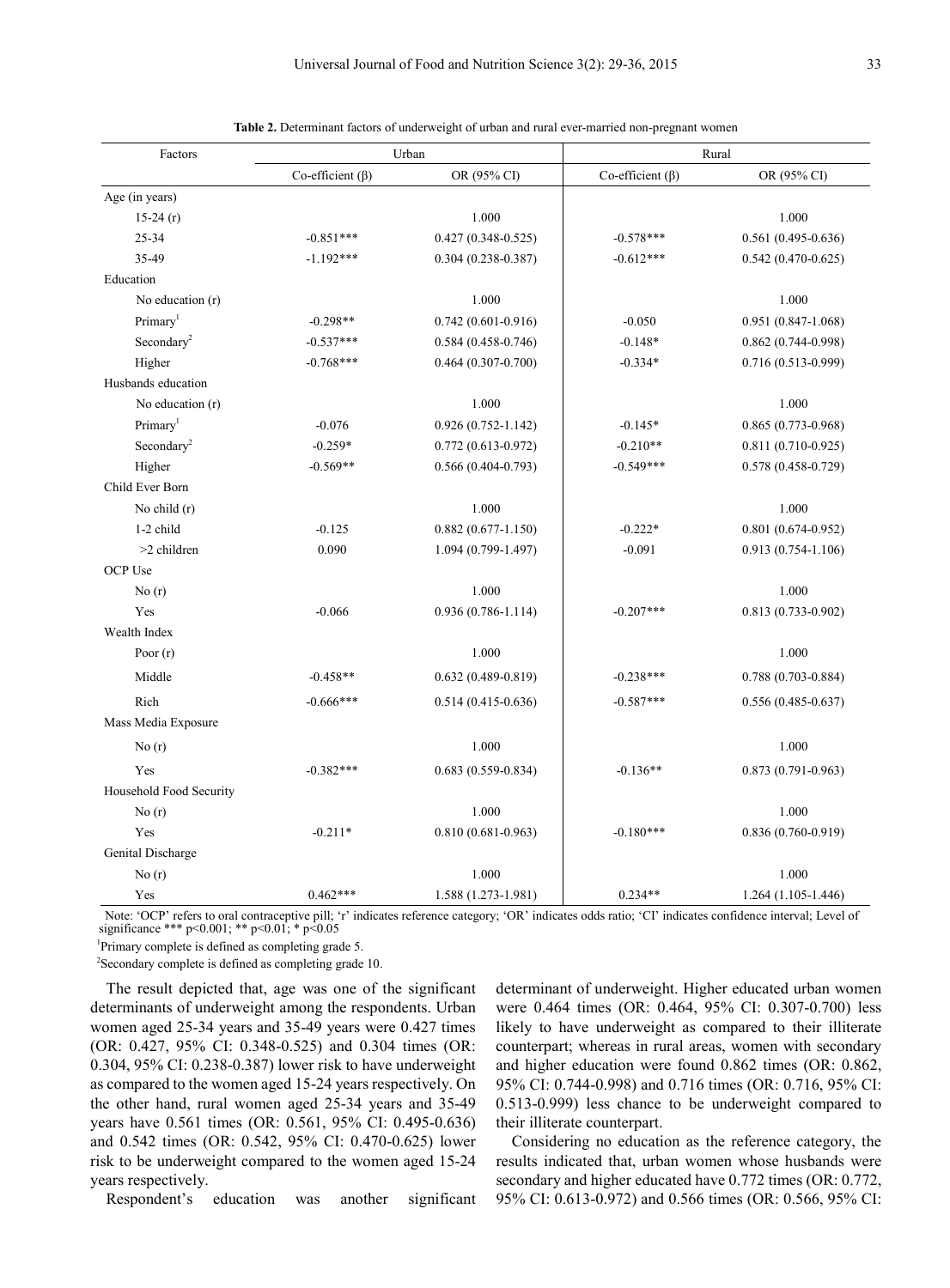| Factors                 |                        | Urban                  | Rural                  |                        |  |  |
|-------------------------|------------------------|------------------------|------------------------|------------------------|--|--|
|                         | Co-efficient $(\beta)$ | OR (95% CI)            | Co-efficient $(\beta)$ | OR (95% CI)            |  |  |
| Age (in years)          |                        |                        |                        |                        |  |  |
| $15-24(r)$              |                        | 1.000                  |                        | 1.000                  |  |  |
| 25-34                   | $-0.851***$            | $0.427(0.348 - 0.525)$ | $-0.578***$            | $0.561(0.495 - 0.636)$ |  |  |
| 35-49                   | $-1.192***$            | $0.304(0.238 - 0.387)$ | $-0.612***$            | $0.542(0.470-0.625)$   |  |  |
| Education               |                        |                        |                        |                        |  |  |
| No education $(r)$      |                        | 1.000                  |                        | 1.000                  |  |  |
| Primary <sup>1</sup>    | $-0.298**$             | $0.742(0.601 - 0.916)$ | $-0.050$               | $0.951(0.847-1.068)$   |  |  |
| Secondary <sup>2</sup>  | $-0.537***$            | $0.584(0.458 - 0.746)$ | $-0.148*$              | $0.862(0.744 - 0.998)$ |  |  |
| Higher                  | $-0.768***$            | $0.464(0.307 - 0.700)$ | $-0.334*$              | 0.716 (0.513-0.999)    |  |  |
| Husbands education      |                        |                        |                        |                        |  |  |
| No education $(r)$      |                        | 1.000                  |                        | 1.000                  |  |  |
| Primary <sup>1</sup>    | $-0.076$               | $0.926(0.752 - 1.142)$ | $-0.145*$              | $0.865(0.773-0.968)$   |  |  |
| Secondary <sup>2</sup>  | $-0.259*$              | $0.772(0.613 - 0.972)$ | $-0.210**$             | $0.811(0.710-0.925)$   |  |  |
| Higher                  | $-0.569**$             | $0.566(0.404 - 0.793)$ | $-0.549***$            | $0.578(0.458 - 0.729)$ |  |  |
| Child Ever Born         |                        |                        |                        |                        |  |  |
| No child (r)            |                        | 1.000                  |                        | 1.000                  |  |  |
| 1-2 child               | $-0.125$               | $0.882(0.677 - 1.150)$ | $-0.222*$              | $0.801(0.674 - 0.952)$ |  |  |
| $>2$ children           | 0.090                  | 1.094 (0.799-1.497)    | $-0.091$               | $0.913(0.754-1.106)$   |  |  |
| OCP Use                 |                        |                        |                        |                        |  |  |
| No(r)                   |                        | 1.000                  |                        | 1.000                  |  |  |
| Yes                     | $-0.066$               | $0.936(0.786 - 1.114)$ | $-0.207***$            | $0.813(0.733 - 0.902)$ |  |  |
| Wealth Index            |                        |                        |                        |                        |  |  |
| Poor $(r)$              |                        | 1.000                  |                        | 1.000                  |  |  |
| Middle                  | $-0.458**$             | $0.632(0.489 - 0.819)$ | $-0.238***$            | $0.788(0.703 - 0.884)$ |  |  |
| Rich                    | $-0.666***$            | $0.514(0.415 - 0.636)$ | $-0.587***$            | $0.556(0.485 - 0.637)$ |  |  |
| Mass Media Exposure     |                        |                        |                        |                        |  |  |
| No(r)                   |                        | 1.000                  |                        | 1.000                  |  |  |
| Yes                     | $-0.382***$            | $0.683(0.559 - 0.834)$ | $-0.136**$             | $0.873(0.791 - 0.963)$ |  |  |
| Household Food Security |                        |                        |                        |                        |  |  |
| No(r)                   |                        | 1.000                  |                        | 1.000                  |  |  |
| Yes                     | $-0.211*$              | $0.810(0.681 - 0.963)$ | $-0.180***$            | $0.836(0.760 - 0.919)$ |  |  |
| Genital Discharge       |                        |                        |                        |                        |  |  |
| No(r)                   |                        | 1.000                  |                        | 1.000                  |  |  |
| Yes                     | $0.462***$             | 1.588 (1.273-1.981)    | $0.234**$              | $1.264(1.105-1.446)$   |  |  |

|  |  |  | Table 2. Determinant factors of underweight of urban and rural ever-married non-pregnant women |  |
|--|--|--|------------------------------------------------------------------------------------------------|--|
|  |  |  |                                                                                                |  |

Note: 'OCP' refers to oral contraceptive pill; 'r' indicates reference category; 'OR' indicates odds ratio; 'CI' indicates confidence interval; Level of significance \*\*\* p<0.001; \*\* p<0.01; \* p<0.05

1 Primary complete is defined as completing grade 5.

<sup>2</sup>Secondary complete is defined as completing grade 10.

The result depicted that, age was one of the significant determinants of underweight among the respondents. Urban women aged 25-34 years and 35-49 years were 0.427 times (OR: 0.427, 95% CI: 0.348-0.525) and 0.304 times (OR: 0.304, 95% CI: 0.238-0.387) lower risk to have underweight as compared to the women aged 15-24 years respectively. On the other hand, rural women aged 25-34 years and 35-49 years have 0.561 times (OR: 0.561, 95% CI: 0.495-0.636) and 0.542 times (OR: 0.542, 95% CI: 0.470-0.625) lower risk to be underweight compared to the women aged 15-24 years respectively.

Respondent's education was another significant

determinant of underweight. Higher educated urban women were 0.464 times (OR: 0.464, 95% CI: 0.307-0.700) less likely to have underweight as compared to their illiterate counterpart; whereas in rural areas, women with secondary and higher education were found 0.862 times (OR: 0.862, 95% CI: 0.744-0.998) and 0.716 times (OR: 0.716, 95% CI: 0.513-0.999) less chance to be underweight compared to their illiterate counterpart.

Considering no education as the reference category, the results indicated that, urban women whose husbands were secondary and higher educated have 0.772 times (OR: 0.772, 95% CI: 0.613-0.972) and 0.566 times (OR: 0.566, 95% CI: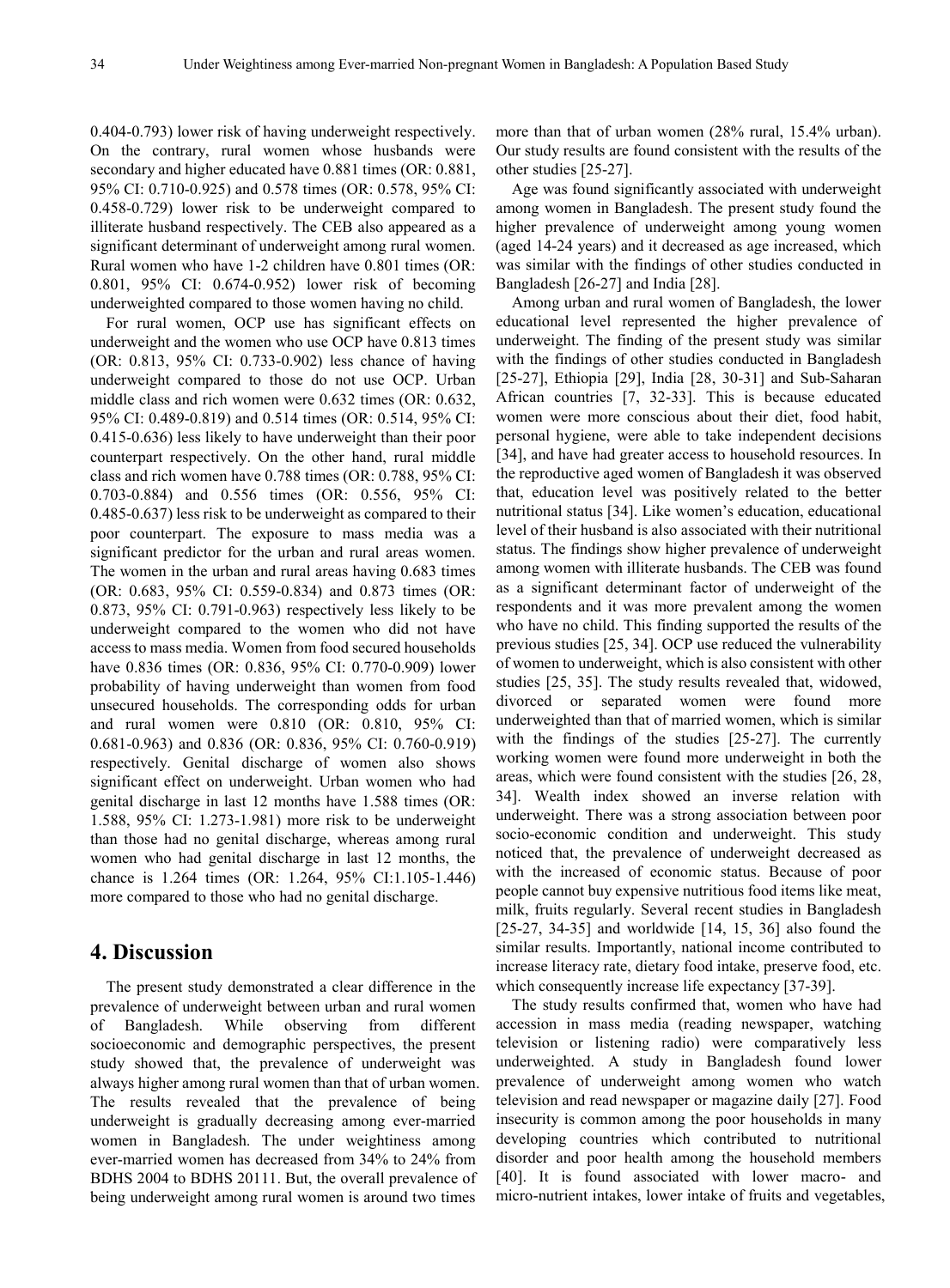0.404-0.793) lower risk of having underweight respectively. On the contrary, rural women whose husbands were secondary and higher educated have 0.881 times (OR: 0.881, 95% CI: 0.710-0.925) and 0.578 times (OR: 0.578, 95% CI: 0.458-0.729) lower risk to be underweight compared to illiterate husband respectively. The CEB also appeared as a significant determinant of underweight among rural women. Rural women who have 1-2 children have 0.801 times (OR: 0.801, 95% CI: 0.674-0.952) lower risk of becoming underweighted compared to those women having no child.

For rural women, OCP use has significant effects on underweight and the women who use OCP have 0.813 times (OR: 0.813, 95% CI: 0.733-0.902) less chance of having underweight compared to those do not use OCP. Urban middle class and rich women were 0.632 times (OR: 0.632, 95% CI: 0.489-0.819) and 0.514 times (OR: 0.514, 95% CI: 0.415-0.636) less likely to have underweight than their poor counterpart respectively. On the other hand, rural middle class and rich women have 0.788 times (OR: 0.788, 95% CI: 0.703-0.884) and 0.556 times (OR: 0.556, 95% CI: 0.485-0.637) less risk to be underweight as compared to their poor counterpart. The exposure to mass media was a significant predictor for the urban and rural areas women. The women in the urban and rural areas having 0.683 times (OR: 0.683, 95% CI: 0.559-0.834) and 0.873 times (OR: 0.873, 95% CI: 0.791-0.963) respectively less likely to be underweight compared to the women who did not have access to mass media. Women from food secured households have 0.836 times (OR: 0.836, 95% CI: 0.770-0.909) lower probability of having underweight than women from food unsecured households. The corresponding odds for urban and rural women were 0.810 (OR: 0.810, 95% CI: 0.681-0.963) and 0.836 (OR: 0.836, 95% CI: 0.760-0.919) respectively. Genital discharge of women also shows significant effect on underweight. Urban women who had genital discharge in last 12 months have 1.588 times (OR: 1.588, 95% CI: 1.273-1.981) more risk to be underweight than those had no genital discharge, whereas among rural women who had genital discharge in last 12 months, the chance is 1.264 times (OR: 1.264, 95% CI:1.105-1.446) more compared to those who had no genital discharge.

## **4. Discussion**

The present study demonstrated a clear difference in the prevalence of underweight between urban and rural women of Bangladesh. While observing from different socioeconomic and demographic perspectives, the present study showed that, the prevalence of underweight was always higher among rural women than that of urban women. The results revealed that the prevalence of being underweight is gradually decreasing among ever-married women in Bangladesh. The under weightiness among ever-married women has decreased from 34% to 24% from BDHS 2004 to BDHS 20111. But, the overall prevalence of being underweight among rural women is around two times

more than that of urban women (28% rural, 15.4% urban). Our study results are found consistent with the results of the other studies [25-27].

Age was found significantly associated with underweight among women in Bangladesh. The present study found the higher prevalence of underweight among young women (aged 14-24 years) and it decreased as age increased, which was similar with the findings of other studies conducted in Bangladesh [26-27] and India [28].

Among urban and rural women of Bangladesh, the lower educational level represented the higher prevalence of underweight. The finding of the present study was similar with the findings of other studies conducted in Bangladesh [25-27], Ethiopia [29], India [28, 30-31] and Sub-Saharan African countries [7, 32-33]. This is because educated women were more conscious about their diet, food habit, personal hygiene, were able to take independent decisions [34], and have had greater access to household resources. In the reproductive aged women of Bangladesh it was observed that, education level was positively related to the better nutritional status [34]. Like women's education, educational level of their husband is also associated with their nutritional status. The findings show higher prevalence of underweight among women with illiterate husbands. The CEB was found as a significant determinant factor of underweight of the respondents and it was more prevalent among the women who have no child. This finding supported the results of the previous studies [25, 34]. OCP use reduced the vulnerability of women to underweight, which is also consistent with other studies [25, 35]. The study results revealed that, widowed, divorced or separated women were found more underweighted than that of married women, which is similar with the findings of the studies [25-27]. The currently working women were found more underweight in both the areas, which were found consistent with the studies [26, 28, 34]. Wealth index showed an inverse relation with underweight. There was a strong association between poor socio-economic condition and underweight. This study noticed that, the prevalence of underweight decreased as with the increased of economic status. Because of poor people cannot buy expensive nutritious food items like meat, milk, fruits regularly. Several recent studies in Bangladesh [25-27, 34-35] and worldwide [14, 15, 36] also found the similar results. Importantly, national income contributed to increase literacy rate, dietary food intake, preserve food, etc. which consequently increase life expectancy [37-39].

The study results confirmed that, women who have had accession in mass media (reading newspaper, watching television or listening radio) were comparatively less underweighted. A study in Bangladesh found lower prevalence of underweight among women who watch television and read newspaper or magazine daily [27]. Food insecurity is common among the poor households in many developing countries which contributed to nutritional disorder and poor health among the household members [40]. It is found associated with lower macro- and micro-nutrient intakes, lower intake of fruits and vegetables,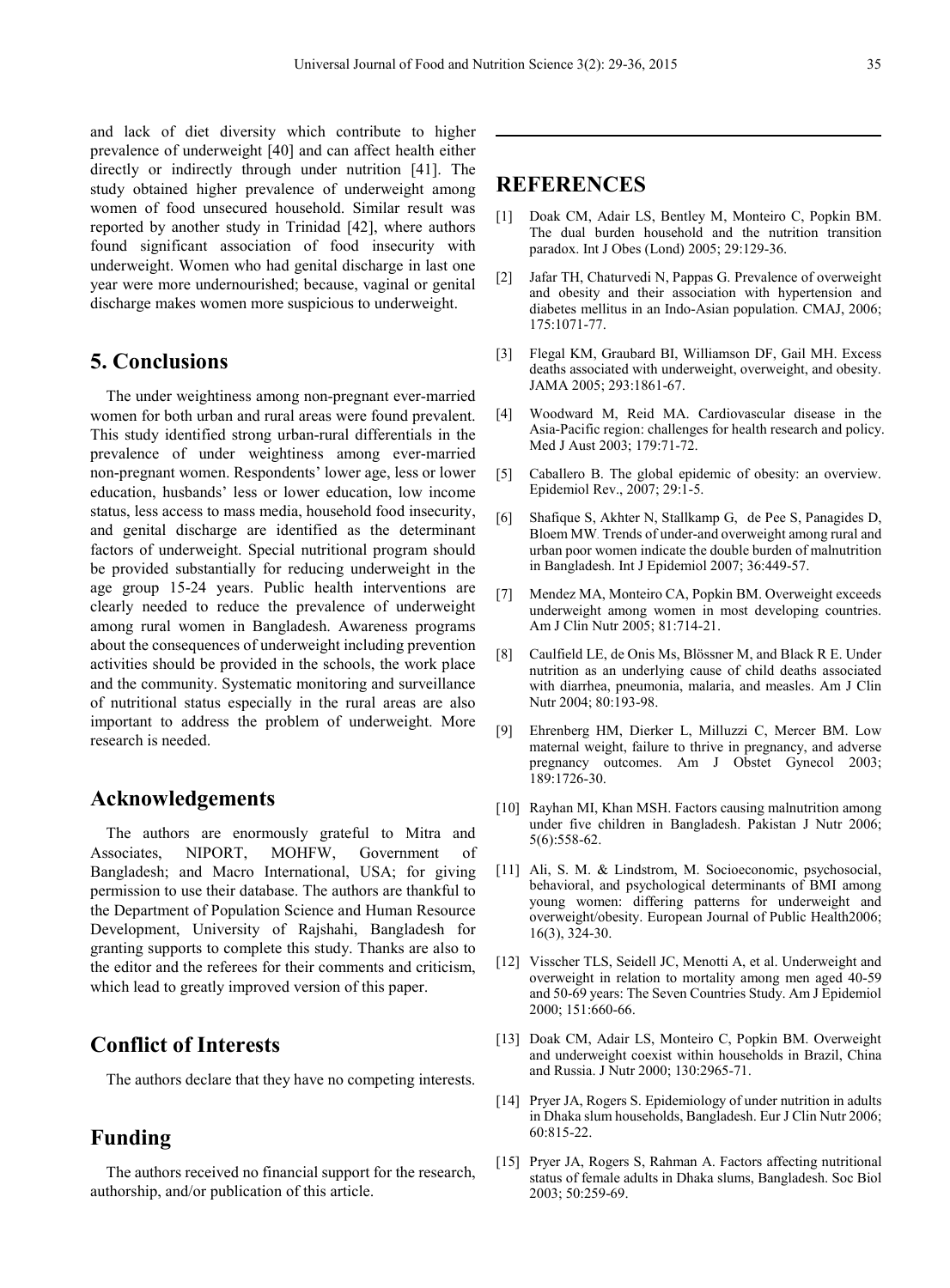and lack of diet diversity which contribute to higher prevalence of underweight [40] and can affect health either directly or indirectly through under nutrition [41]. The study obtained higher prevalence of underweight among women of food unsecured household. Similar result was reported by another study in Trinidad [42], where authors found significant association of food insecurity with underweight. Women who had genital discharge in last one year were more undernourished; because, vaginal or genital discharge makes women more suspicious to underweight.

# **5. Conclusions**

The under weightiness among non-pregnant ever-married women for both urban and rural areas were found prevalent. This study identified strong urban-rural differentials in the prevalence of under weightiness among ever-married non-pregnant women. Respondents' lower age, less or lower education, husbands' less or lower education, low income status, less access to mass media, household food insecurity, and genital discharge are identified as the determinant factors of underweight. Special nutritional program should be provided substantially for reducing underweight in the age group 15-24 years. Public health interventions are clearly needed to reduce the prevalence of underweight among rural women in Bangladesh. Awareness programs about the consequences of underweight including prevention activities should be provided in the schools, the work place and the community. Systematic monitoring and surveillance of nutritional status especially in the rural areas are also important to address the problem of underweight. More research is needed.

# **Acknowledgements**

The authors are enormously grateful to Mitra and Associates, NIPORT, MOHFW, Government of Bangladesh; and Macro International, USA; for giving permission to use their database. The authors are thankful to the Department of Population Science and Human Resource Development, University of Rajshahi, Bangladesh for granting supports to complete this study. Thanks are also to the editor and the referees for their comments and criticism, which lead to greatly improved version of this paper.

# **Conflict of Interests**

The authors declare that they have no competing interests.

# **Funding**

The authors received no financial support for the research, authorship, and/or publication of this article.

# **REFERENCES**

- [1] Doak CM, Adair LS, Bentley M, Monteiro C, Popkin BM. The dual burden household and the nutrition transition paradox. Int J Obes (Lond) 2005; 29:129-36.
- [2] Jafar TH, Chaturvedi N, Pappas G. Prevalence of overweight and obesity and their association with hypertension and diabetes mellitus in an Indo-Asian population. CMAJ, 2006; 175:1071-77.
- [3] Flegal KM, Graubard BI, Williamson DF, Gail MH. Excess deaths associated with underweight, overweight, and obesity. JAMA 2005; 293:1861-67.
- [4] Woodward M, Reid MA. Cardiovascular disease in the Asia-Pacific region: challenges for health research and policy. Med J Aust 2003; 179:71-72.
- [5] Caballero B. The global epidemic of obesity: an overview. Epidemiol Rev., 2007; 29:1-5.
- [6] Shafique S, Akhter N, Stallkamp G, de Pee S, Panagides D, Bloem MW. Trends of under-and overweight among rural and urban poor women indicate the double burden of malnutrition in Bangladesh. Int J Epidemiol 2007; 36:449-57.
- [7] Mendez MA, Monteiro CA, Popkin BM. Overweight exceeds underweight among women in most developing countries. Am J Clin Nutr 2005; 81:714-21.
- [8] Caulfield LE, de Onis Ms, Blössner M, and Black R E. Under nutrition as an underlying cause of child deaths associated with diarrhea, pneumonia, malaria, and measles. Am J Clin Nutr 2004; 80:193-98.
- [9] Ehrenberg HM, Dierker L, Milluzzi C, Mercer BM. Low maternal weight, failure to thrive in pregnancy, and adverse pregnancy outcomes. Am J Obstet Gynecol 2003; 189:1726-30.
- [10] Rayhan MI, Khan MSH. Factors causing malnutrition among under five children in Bangladesh. Pakistan J Nutr 2006; 5(6):558-62.
- [11] Ali, S. M. & Lindstrom, M. Socioeconomic, psychosocial, behavioral, and psychological determinants of BMI among young women: differing patterns for underweight and overweight/obesity. European Journal of Public Health2006; 16(3), 324-30.
- [12] Visscher TLS, Seidell JC, Menotti A, et al. Underweight and overweight in relation to mortality among men aged 40-59 and 50-69 years: The Seven Countries Study. Am J Epidemiol 2000; 151:660-66.
- [13] Doak CM, Adair LS, Monteiro C, Popkin BM. Overweight and underweight coexist within households in Brazil, China and Russia. J Nutr 2000; 130:2965-71.
- [14] Pryer JA, Rogers S. Epidemiology of under nutrition in adults in Dhaka slum households, Bangladesh. Eur J Clin Nutr 2006; 60:815-22.
- [15] Pryer JA, Rogers S, Rahman A. Factors affecting nutritional status of female adults in Dhaka slums, Bangladesh. Soc Biol 2003; 50:259-69.